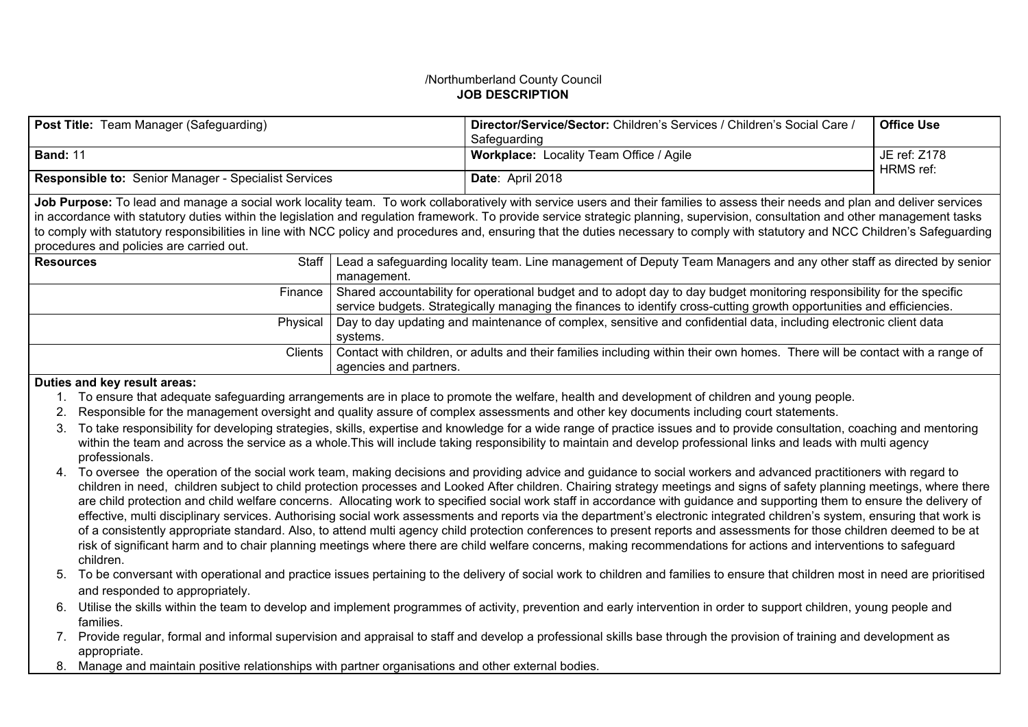## /Northumberland County Council **JOB DESCRIPTION**

| Post Title: Team Manager (Safeguarding)                     |                                                                                                                                                                                                                                                                                                                                                                                                                                                                                                                                                                                                                                                                                                                                                                                                                                                                                                                                                                                                                                                                                                                                                                                                                                                                                                                                                                                                                                                                                                                                                                                                                                                                                                                                                                                                                                                                                                                                                            |                                                                                                                                                                                                                                                 | Director/Service/Sector: Children's Services / Children's Social Care /<br>Safeguarding                                                                                | <b>Office Use</b> |  |  |  |
|-------------------------------------------------------------|------------------------------------------------------------------------------------------------------------------------------------------------------------------------------------------------------------------------------------------------------------------------------------------------------------------------------------------------------------------------------------------------------------------------------------------------------------------------------------------------------------------------------------------------------------------------------------------------------------------------------------------------------------------------------------------------------------------------------------------------------------------------------------------------------------------------------------------------------------------------------------------------------------------------------------------------------------------------------------------------------------------------------------------------------------------------------------------------------------------------------------------------------------------------------------------------------------------------------------------------------------------------------------------------------------------------------------------------------------------------------------------------------------------------------------------------------------------------------------------------------------------------------------------------------------------------------------------------------------------------------------------------------------------------------------------------------------------------------------------------------------------------------------------------------------------------------------------------------------------------------------------------------------------------------------------------------------|-------------------------------------------------------------------------------------------------------------------------------------------------------------------------------------------------------------------------------------------------|------------------------------------------------------------------------------------------------------------------------------------------------------------------------|-------------------|--|--|--|
| <b>Band: 11</b>                                             |                                                                                                                                                                                                                                                                                                                                                                                                                                                                                                                                                                                                                                                                                                                                                                                                                                                                                                                                                                                                                                                                                                                                                                                                                                                                                                                                                                                                                                                                                                                                                                                                                                                                                                                                                                                                                                                                                                                                                            |                                                                                                                                                                                                                                                 | Workplace: Locality Team Office / Agile                                                                                                                                | JE ref: Z178      |  |  |  |
| <b>Responsible to: Senior Manager - Specialist Services</b> |                                                                                                                                                                                                                                                                                                                                                                                                                                                                                                                                                                                                                                                                                                                                                                                                                                                                                                                                                                                                                                                                                                                                                                                                                                                                                                                                                                                                                                                                                                                                                                                                                                                                                                                                                                                                                                                                                                                                                            |                                                                                                                                                                                                                                                 | Date: April 2018                                                                                                                                                       | HRMS ref:         |  |  |  |
|                                                             | Job Purpose: To lead and manage a social work locality team. To work collaboratively with service users and their families to assess their needs and plan and deliver services<br>in accordance with statutory duties within the legislation and regulation framework. To provide service strategic planning, supervision, consultation and other management tasks<br>to comply with statutory responsibilities in line with NCC policy and procedures and, ensuring that the duties necessary to comply with statutory and NCC Children's Safeguarding<br>procedures and policies are carried out.                                                                                                                                                                                                                                                                                                                                                                                                                                                                                                                                                                                                                                                                                                                                                                                                                                                                                                                                                                                                                                                                                                                                                                                                                                                                                                                                                        |                                                                                                                                                                                                                                                 |                                                                                                                                                                        |                   |  |  |  |
| <b>Resources</b>                                            | Staff                                                                                                                                                                                                                                                                                                                                                                                                                                                                                                                                                                                                                                                                                                                                                                                                                                                                                                                                                                                                                                                                                                                                                                                                                                                                                                                                                                                                                                                                                                                                                                                                                                                                                                                                                                                                                                                                                                                                                      | management.                                                                                                                                                                                                                                     | Lead a safeguarding locality team. Line management of Deputy Team Managers and any other staff as directed by senior                                                   |                   |  |  |  |
|                                                             | Finance                                                                                                                                                                                                                                                                                                                                                                                                                                                                                                                                                                                                                                                                                                                                                                                                                                                                                                                                                                                                                                                                                                                                                                                                                                                                                                                                                                                                                                                                                                                                                                                                                                                                                                                                                                                                                                                                                                                                                    | Shared accountability for operational budget and to adopt day to day budget monitoring responsibility for the specific<br>service budgets. Strategically managing the finances to identify cross-cutting growth opportunities and efficiencies. |                                                                                                                                                                        |                   |  |  |  |
| Physical                                                    |                                                                                                                                                                                                                                                                                                                                                                                                                                                                                                                                                                                                                                                                                                                                                                                                                                                                                                                                                                                                                                                                                                                                                                                                                                                                                                                                                                                                                                                                                                                                                                                                                                                                                                                                                                                                                                                                                                                                                            | Day to day updating and maintenance of complex, sensitive and confidential data, including electronic client data<br>systems.                                                                                                                   |                                                                                                                                                                        |                   |  |  |  |
|                                                             | Clients                                                                                                                                                                                                                                                                                                                                                                                                                                                                                                                                                                                                                                                                                                                                                                                                                                                                                                                                                                                                                                                                                                                                                                                                                                                                                                                                                                                                                                                                                                                                                                                                                                                                                                                                                                                                                                                                                                                                                    | agencies and partners.                                                                                                                                                                                                                          | Contact with children, or adults and their families including within their own homes. There will be contact with a range of                                            |                   |  |  |  |
| 2.<br>3.<br>5.                                              | Duties and key result areas:<br>1. To ensure that adequate safeguarding arrangements are in place to promote the welfare, health and development of children and young people.<br>Responsible for the management oversight and quality assure of complex assessments and other key documents including court statements.<br>To take responsibility for developing strategies, skills, expertise and knowledge for a wide range of practice issues and to provide consultation, coaching and mentoring<br>within the team and across the service as a whole. This will include taking responsibility to maintain and develop professional links and leads with multi agency<br>professionals.<br>4. To oversee the operation of the social work team, making decisions and providing advice and guidance to social workers and advanced practitioners with regard to<br>children in need, children subject to child protection processes and Looked After children. Chairing strategy meetings and signs of safety planning meetings, where there<br>are child protection and child welfare concerns. Allocating work to specified social work staff in accordance with guidance and supporting them to ensure the delivery of<br>effective, multi disciplinary services. Authorising social work assessments and reports via the department's electronic integrated children's system, ensuring that work is<br>of a consistently appropriate standard. Also, to attend multi agency child protection conferences to present reports and assessments for those children deemed to be at<br>risk of significant harm and to chair planning meetings where there are child welfare concerns, making recommendations for actions and interventions to safeguard<br>children.<br>To be conversant with operational and practice issues pertaining to the delivery of social work to children and families to ensure that children most in need are prioritised |                                                                                                                                                                                                                                                 |                                                                                                                                                                        |                   |  |  |  |
| 6.                                                          | and responded to appropriately.                                                                                                                                                                                                                                                                                                                                                                                                                                                                                                                                                                                                                                                                                                                                                                                                                                                                                                                                                                                                                                                                                                                                                                                                                                                                                                                                                                                                                                                                                                                                                                                                                                                                                                                                                                                                                                                                                                                            |                                                                                                                                                                                                                                                 | Utilise the skills within the team to develop and implement programmes of activity, prevention and early intervention in order to support children, young people and   |                   |  |  |  |
|                                                             | families.                                                                                                                                                                                                                                                                                                                                                                                                                                                                                                                                                                                                                                                                                                                                                                                                                                                                                                                                                                                                                                                                                                                                                                                                                                                                                                                                                                                                                                                                                                                                                                                                                                                                                                                                                                                                                                                                                                                                                  |                                                                                                                                                                                                                                                 | 7. Provide regular, formal and informal supervision and appraisal to staff and develop a professional skills base through the provision of training and development as |                   |  |  |  |

appropriate. 8. Manage and maintain positive relationships with partner organisations and other external bodies.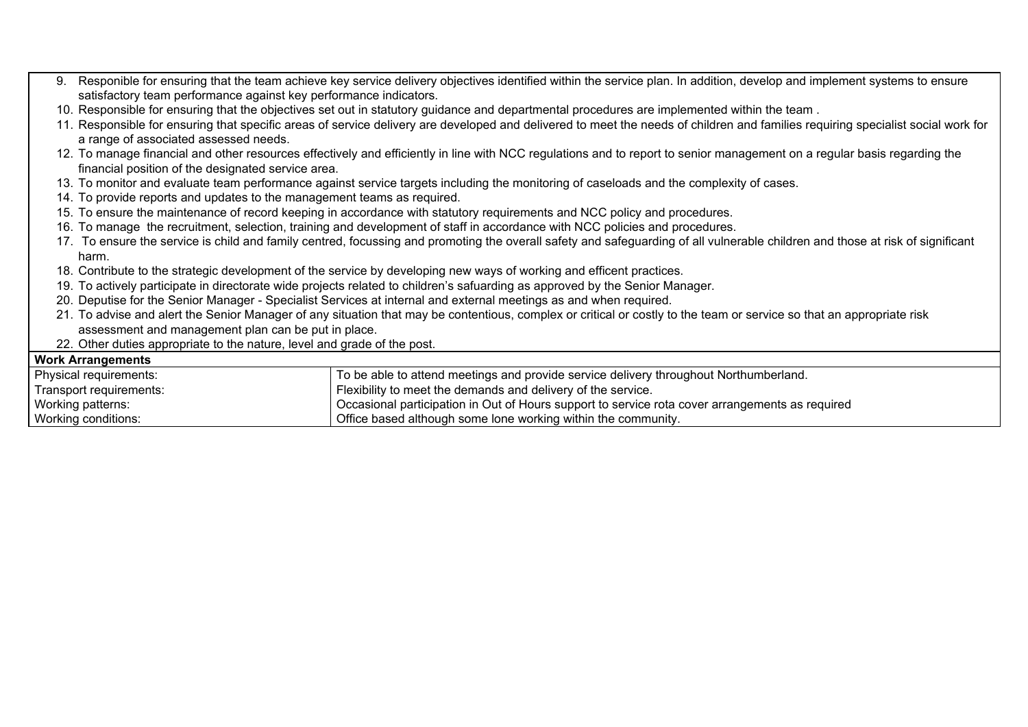|                                                                                                                                                                                | 9. Responible for ensuring that the team achieve key service delivery objectives identified within the service plan. In addition, develop and implement systems to ensure        |  |  |  |  |
|--------------------------------------------------------------------------------------------------------------------------------------------------------------------------------|----------------------------------------------------------------------------------------------------------------------------------------------------------------------------------|--|--|--|--|
| satisfactory team performance against key performance indicators.                                                                                                              |                                                                                                                                                                                  |  |  |  |  |
|                                                                                                                                                                                | 10. Responsible for ensuring that the objectives set out in statutory guidance and departmental procedures are implemented within the team.                                      |  |  |  |  |
|                                                                                                                                                                                | 11. Responsible for ensuring that specific areas of service delivery are developed and delivered to meet the needs of children and families requiring specialist social work for |  |  |  |  |
| a range of associated assessed needs.                                                                                                                                          |                                                                                                                                                                                  |  |  |  |  |
|                                                                                                                                                                                | 12. To manage financial and other resources effectively and efficiently in line with NCC regulations and to report to senior management on a regular basis regarding the         |  |  |  |  |
| financial position of the designated service area.                                                                                                                             |                                                                                                                                                                                  |  |  |  |  |
| 13. To monitor and evaluate team performance against service targets including the monitoring of caseloads and the complexity of cases.                                        |                                                                                                                                                                                  |  |  |  |  |
| 14. To provide reports and updates to the management teams as required.                                                                                                        |                                                                                                                                                                                  |  |  |  |  |
| 15. To ensure the maintenance of record keeping in accordance with statutory requirements and NCC policy and procedures.                                                       |                                                                                                                                                                                  |  |  |  |  |
| 16. To manage the recruitment, selection, training and development of staff in accordance with NCC policies and procedures.                                                    |                                                                                                                                                                                  |  |  |  |  |
| 17. To ensure the service is child and family centred, focussing and promoting the overall safety and safeguarding of all vulnerable children and those at risk of significant |                                                                                                                                                                                  |  |  |  |  |
| harm.                                                                                                                                                                          |                                                                                                                                                                                  |  |  |  |  |
| 18. Contribute to the strategic development of the service by developing new ways of working and efficent practices.                                                           |                                                                                                                                                                                  |  |  |  |  |
|                                                                                                                                                                                | 19. To actively participate in directorate wide projects related to children's safuarding as approved by the Senior Manager.                                                     |  |  |  |  |
|                                                                                                                                                                                | 20. Deputise for the Senior Manager - Specialist Services at internal and external meetings as and when required.                                                                |  |  |  |  |
| 21. To advise and alert the Senior Manager of any situation that may be contentious, complex or critical or costly to the team or service so that an appropriate risk          |                                                                                                                                                                                  |  |  |  |  |
| assessment and management plan can be put in place.                                                                                                                            |                                                                                                                                                                                  |  |  |  |  |
| 22. Other duties appropriate to the nature, level and grade of the post.                                                                                                       |                                                                                                                                                                                  |  |  |  |  |
| <b>Work Arrangements</b>                                                                                                                                                       |                                                                                                                                                                                  |  |  |  |  |
| Physical requirements:                                                                                                                                                         | To be able to attend meetings and provide service delivery throughout Northumberland.                                                                                            |  |  |  |  |
| Transport requirements:                                                                                                                                                        | Flexibility to meet the demands and delivery of the service.                                                                                                                     |  |  |  |  |
| Working patterns:                                                                                                                                                              | Occasional participation in Out of Hours support to service rota cover arrangements as required                                                                                  |  |  |  |  |
| Working conditions:                                                                                                                                                            | Office based although some lone working within the community.                                                                                                                    |  |  |  |  |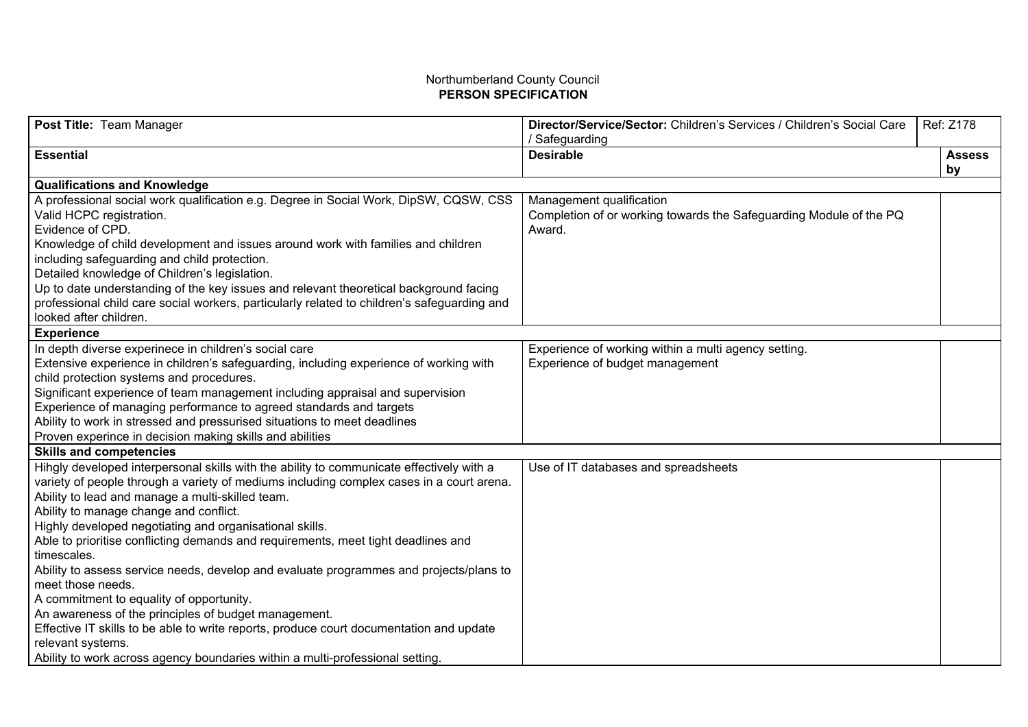## Northumberland County Council **PERSON SPECIFICATION**

| Post Title: Team Manager                                                                    | Director/Service/Sector: Children's Services / Children's Social Care | Ref: Z178     |
|---------------------------------------------------------------------------------------------|-----------------------------------------------------------------------|---------------|
|                                                                                             | Safeguarding                                                          |               |
| <b>Essential</b>                                                                            | <b>Desirable</b>                                                      | <b>Assess</b> |
| <b>Qualifications and Knowledge</b>                                                         |                                                                       | by            |
| A professional social work qualification e.g. Degree in Social Work, DipSW, CQSW, CSS       | Management qualification                                              |               |
| Valid HCPC registration.                                                                    | Completion of or working towards the Safeguarding Module of the PQ    |               |
| Evidence of CPD.                                                                            | Award.                                                                |               |
| Knowledge of child development and issues around work with families and children            |                                                                       |               |
| including safeguarding and child protection.                                                |                                                                       |               |
| Detailed knowledge of Children's legislation.                                               |                                                                       |               |
| Up to date understanding of the key issues and relevant theoretical background facing       |                                                                       |               |
| professional child care social workers, particularly related to children's safeguarding and |                                                                       |               |
| looked after children.                                                                      |                                                                       |               |
| <b>Experience</b>                                                                           |                                                                       |               |
| In depth diverse experinece in children's social care                                       | Experience of working within a multi agency setting.                  |               |
| Extensive experience in children's safeguarding, including experience of working with       | Experience of budget management                                       |               |
| child protection systems and procedures.                                                    |                                                                       |               |
| Significant experience of team management including appraisal and supervision               |                                                                       |               |
| Experience of managing performance to agreed standards and targets                          |                                                                       |               |
| Ability to work in stressed and pressurised situations to meet deadlines                    |                                                                       |               |
| Proven experince in decision making skills and abilities                                    |                                                                       |               |
| <b>Skills and competencies</b>                                                              |                                                                       |               |
| Hihgly developed interpersonal skills with the ability to communicate effectively with a    | Use of IT databases and spreadsheets                                  |               |
| variety of people through a variety of mediums including complex cases in a court arena.    |                                                                       |               |
| Ability to lead and manage a multi-skilled team.                                            |                                                                       |               |
| Ability to manage change and conflict.                                                      |                                                                       |               |
| Highly developed negotiating and organisational skills.                                     |                                                                       |               |
| Able to prioritise conflicting demands and requirements, meet tight deadlines and           |                                                                       |               |
| timescales.                                                                                 |                                                                       |               |
| Ability to assess service needs, develop and evaluate programmes and projects/plans to      |                                                                       |               |
| meet those needs.                                                                           |                                                                       |               |
| A commitment to equality of opportunity.                                                    |                                                                       |               |
| An awareness of the principles of budget management.                                        |                                                                       |               |
| Effective IT skills to be able to write reports, produce court documentation and update     |                                                                       |               |
| relevant systems.                                                                           |                                                                       |               |
| Ability to work across agency boundaries within a multi-professional setting.               |                                                                       |               |